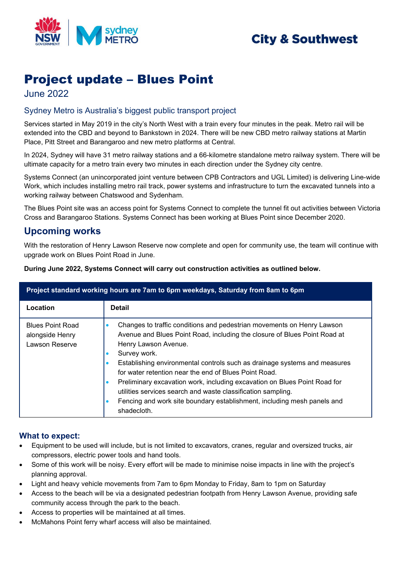

# **City & Southwest**

# Project update – Blues Point

June 2022

### Sydney Metro is Australia's biggest public transport project

Services started in May 2019 in the city's North West with a train every four minutes in the peak. Metro rail will be extended into the CBD and beyond to Bankstown in 2024. There will be new CBD metro railway stations at Martin Place, Pitt Street and Barangaroo and new metro platforms at Central.

In 2024, Sydney will have 31 metro railway stations and a 66-kilometre standalone metro railway system. There will be ultimate capacity for a metro train every two minutes in each direction under the Sydney city centre.

Systems Connect (an unincorporated joint venture between CPB Contractors and UGL Limited) is delivering Line-wide Work, which includes installing metro rail track, power systems and infrastructure to turn the excavated tunnels into a working railway between Chatswood and Sydenham.

The Blues Point site was an access point for Systems Connect to complete the tunnel fit out activities between Victoria Cross and Barangaroo Stations. Systems Connect has been working at Blues Point since December 2020.

## **Upcoming works**

With the restoration of Henry Lawson Reserve now complete and open for community use, the team will continue with upgrade work on Blues Point Road in June.

| Project standard working hours are 7am to 6pm weekdays, Saturday from 8am to 6pm |                                                                                                                                                                                                                                                                                                                                                                                                                                                                                                                                                                                       |
|----------------------------------------------------------------------------------|---------------------------------------------------------------------------------------------------------------------------------------------------------------------------------------------------------------------------------------------------------------------------------------------------------------------------------------------------------------------------------------------------------------------------------------------------------------------------------------------------------------------------------------------------------------------------------------|
| Location                                                                         | <b>Detail</b>                                                                                                                                                                                                                                                                                                                                                                                                                                                                                                                                                                         |
| <b>Blues Point Road</b><br>alongside Henry<br>Lawson Reserve                     | Changes to traffic conditions and pedestrian movements on Henry Lawson<br>Avenue and Blues Point Road, including the closure of Blues Point Road at<br>Henry Lawson Avenue.<br>Survey work.<br>Establishing environmental controls such as drainage systems and measures<br>for water retention near the end of Blues Point Road.<br>Preliminary excavation work, including excavation on Blues Point Road for<br>utilities services search and waste classification sampling.<br>Fencing and work site boundary establishment, including mesh panels and<br>$\bullet$<br>shadecloth. |

**During June 2022, Systems Connect will carry out construction activities as outlined below.**

#### **What to expect:**

- Equipment to be used will include, but is not limited to excavators, cranes, regular and oversized trucks, air compressors, electric power tools and hand tools.
- Some of this work will be noisy. Every effort will be made to minimise noise impacts in line with the project's planning approval.
- Light and heavy vehicle movements from 7am to 6pm Monday to Friday, 8am to 1pm on Saturday
- Access to the beach will be via a designated pedestrian footpath from Henry Lawson Avenue, providing safe community access through the park to the beach.
- Access to properties will be maintained at all times.
- McMahons Point ferry wharf access will also be maintained.